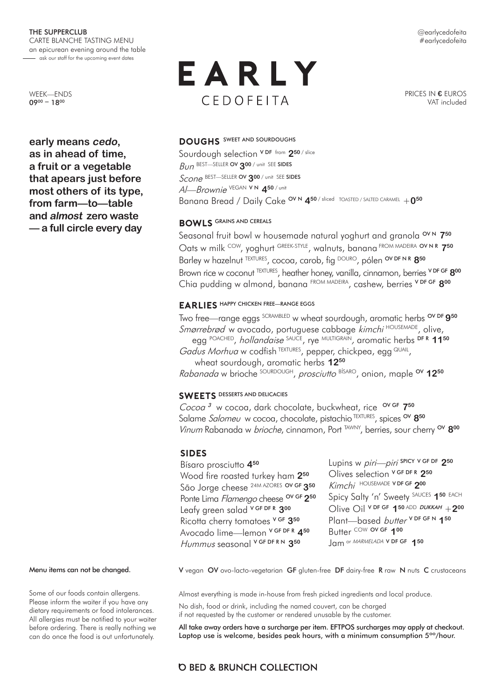@earlycedofeita #earlycedofeita

WEEK—ENDS 0900 – 1800

**early means cedo, as in ahead of time, a fruit or a vegetable that apears just before most others of its type, from farm—to—table and almost zero waste — a full circle every day** 

# EARLY CEDOFEITA

PRICES IN **€** EUROS VAT included

## **DOUGHS** SWEET AND SOURDOUGHS

Sourdough selection V DF from **250** / slice Bun BEST—SELLER OV **300** / unit SEE SIDES Scone BEST—SELLER OV **300** / unit SEE SIDES Al—Brownie VEGAN V N **450** / unit Banana Bread / Daily Cake <sup>OV N</sup> 4<sup>50 / sliced TOASTED / SALTED CARAMEL + 0<sup>50</sup></sup>

#### **BOWLS** GRAINS AND CEREALS

Seasonal fruit bowl w housemade natural yoghurt and granola<sup>OVN</sup> 750 Oats w milk <sup>COW</sup>, yoghurt GREEK-STYLE, walnuts, banana FROM MADEIRA OV N R 750 Barley w hazelnut <sup>TEXTURES</sup>, cocoa, carob, fig DOURO, pólen OV DF N R 850 Brown rice w coconut TEXTURES, heather honey, vanilla, cinnamon, berries V DF GF **800** Chia pudding w almond, banana FROM MADEIRA, cashew, berries V DF GF **800**

#### **EARLIES** HAPPY CHICKEN FREE—RANGE EGGS

Two free—range eggs SCRAMBLED w wheat sourdough, aromatic herbs OV DF **950** Smørrebrød w avocado, portuguese cabbage kimchi HOUSEMADE, olive, egg POACHED, hollandaise SAUCE, rye MULTIGRAIN, aromatic herbs DF R **1150**  Gadus Morhua w codfish TEXTURES, pepper, chickpea, egg QUAIL, wheat sourdough, aromatic herbs **1250** Rabanada w brioche <sup>SOURDOUGH</sup>, prosciutto <sup>BÍSARO</sup>, onion, maple <sup>ov</sup> 12<sup>50</sup>

# **SWEETS** DESSERTS AND DELICACIES

Cocoa<sup>3</sup> w cocoa, dark chocolate, buckwheat, rice <sup>ov GF</sup> 7<sup>50</sup> Salame Salomeu w cocoa, chocolate, pistachio<sup>TEXTURES</sup>, spices <sup>ov</sup> 8<sup>50</sup> Vinum Rabanada w brioche, cinnamon, Port <sup>TAWNY</sup>, berries, sour cherry <sup>ov</sup> 800

# **SIDES**

Bísaro prosciutto **450** Wood fire roasted turkey ham **250** São Jorge cheese 24M AZORES OV GF **350** Ponte Lima Flamengo cheese <sup>OV GF</sup> 2<sup>50</sup> Leafy green salad V GF DF R **300** Ricotta cherry tomatoes V GF **350** Avocado lime—lemon V GF DF R **450** Hummus seasonal V GF DF R N **350**

Lupins w piri—piri SPICY V GF DF **250** Olives selection V GF DF R **250**  Kimchi HOUSEMADE V DF GF 200 Spicy Salty 'n' Sweety SAUCES **150** EACH  $O$ live  $O$ il <sup>v DF GF</sup> 1<sup>50 ADD</sup> DUKKAH + 2<sup>00</sup> Plant-based butter V DF GF N 150 Butter COW OV GF **100** Jam or MARMELADA V DF GF 150

Menu items can not be changed.

Some of our foods contain allergens. Please inform the waiter if you have any dietary requirements or food intolerances. All allergies must be notified to your waiter before ordering. There is really nothing we can do once the food is out unfortunately.

V vegan OV ovo-lacto-vegetarian GF gluten-free DF dairy-free R raw N nuts C crustaceans

Almost everything is made in-house from fresh picked ingredients and local produce. No dish, food or drink, including the named couvert, can be charged if not requested by the customer or rendered unusable by the customer.

All take away orders have a surcharge per item. EFTPOS surcharges may apply at checkout. Laptop use is welcome, besides peak hours, with a minimum consumption 5<sup>oo</sup>/hour.

# **O BED & BRUNCH COLLECTION**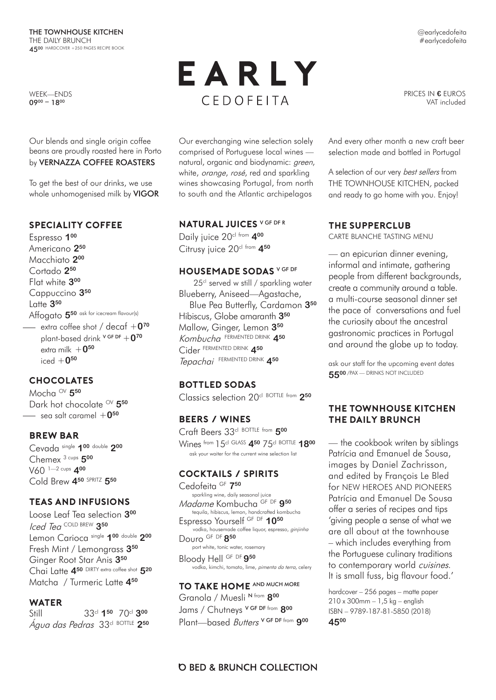WEEK—ENDS 0900 – 1800

Our blends and single origin coffee beans are proudly roasted here in Porto by VERNAZZA COFFEE ROASTERS

To get the best of our drinks, we use whole unhomogenised milk by **VIGOR** 

### **SPECIALITY COFFEE**

Espresso **100** Americano **250**  Macchiato **200** Cortado **250** Flat white **300** Cappuccino **350** Latte **350** Affogato **550** ask for icecream flavour(s) extra coffee shot / decaf +**070** plant-based drink V GF DF +**070** extra milk  $+0^{50}$ iced +**050**

# **CHOCOLATES**

Mocha OV **550** Dark hot chocolate <sup>OV</sup> 5<sup>50</sup>  $\equiv$  sea salt caramel  $+0^{50}$ 

#### **BREW BAR**

Cevada single **100** double **200** Chemex 3 cups **500** V60 1—2 cups **400** Cold Brew **450** SPRITZ **550**

#### **TEAS AND INFUSIONS**

Loose Leaf Tea selection **300** Iced Tea COLD BREW **350** Lemon Carioca single **100** double **200** Fresh Mint / Lemongrass **350** Ginger Root Star Anis **350** Chai Latte **450** DIRTY extra coffee shot **520** Matcha / Turmeric Latte **450**

#### **WATER**

Still 33cl **150** 70cl **300**  Água das Pedras 33cl BOTTLE **250**

# EARLY CEDOFFITA

PRICES IN **€** EUROS VAT included

Our everchanging wine selection solely comprised of Portuguese local wines natural, organic and biodynamic: green, white, *orange*, rosé, red and sparkling wines showcasing Portugal, from north to south and the Atlantic archipelagos

### **NATURAL JUICES** V GF DF R

Daily juice 20<sup>cl from</sup> 400 Citrusy juice 20<sup>cl from</sup> 4<sup>50</sup>

#### **HOUSEMADE SODAS** V GF DF

25<sup>cl</sup> served w still / sparkling water Blueberry, Aniseed—Agastache, Blue Pea Butterfly, Cardamon **350** Hibiscus, Globe amaranth **350** Mallow, Ginger, Lemon **350** Kombucha FERMENTED DRINK **450** Cider FERMENTED DRINK **450**  Tepachai FERMENTED DRINK **450**

# **Bottled SODAS**

Classics selection 20cl BOTTLE from **250**

#### **BEERS / WINES**

Craft Beers 33cl BOTTLE from **500** Wines from 15cl GLASS **450** 75cl BOTTLE **1800** ask your waiter for the current wine selection list

#### **COCKTAILS / SPIRITS**

Cedofeita <sup>GF</sup> 7<sup>50</sup><br>sparkling wine, daily seasonal juice sparkling wine, daily seasonal juice Madame Kombucha GF DF **<sup>950</sup>** tequila, hibiscus, lemon, handcrafted kombucha Espresso Yourself GF DF **1050** vodka, housemade coffee liquor, espresso, *ginjinha* Douro GF DF **850** port white, tonic water, rosemary Bloody Hell GF DF **950** vodka, kimchi, tomato, lime, pimenta da terra, celery

**TO TAKE HOME** AND MUCH MORE Granola / Muesli N from **800**  Jams / Chutneys V GF DF from **800** Plant—based Butters V GF DF from **900** And every other month a new craft beer selection made and bottled in Portugal

A selection of our very best sellers from THE TOWNHOUSE KITCHEN, packed and ready to go home with you. Enjoy!

#### **THE SUPPERCLUB**

CARTE BLANCHE TASTING MENU

— an epicurian dinner evening, informal and intimate, gathering people from different backgrounds, create a community around a table. a multi-course seasonal dinner set the pace of conversations and fuel the curiosity about the ancestral gastronomic practices in Portugal and around the globe up to today.

ask our staff for the upcoming event dates **5500** /PAX — DRINKS NOT INCLUDED

### **THE TOWNHOUSE KITCHEN THE DAILY BRUNCH**

— the cookbook writen by siblings Patrícia and Emanuel de Sousa, images by Daniel Zachrisson, and edited by François Le Bled for NEW HEROES AND PIONEERS Patrícia and Emanuel De Sousa offer a series of recipes and tips 'giving people a sense of what we are all about at the townhouse – which includes everything from the Portuguese culinary traditions to contemporary world cuisines. It is small fuss, big flavour food.'

hardcover – 256 pages – matte paper 210 x 300mm – 1,5 kg – english ISBN – 9789-187-81-5850 (2018) **4500**

@earlycedofeita #earlycedofeita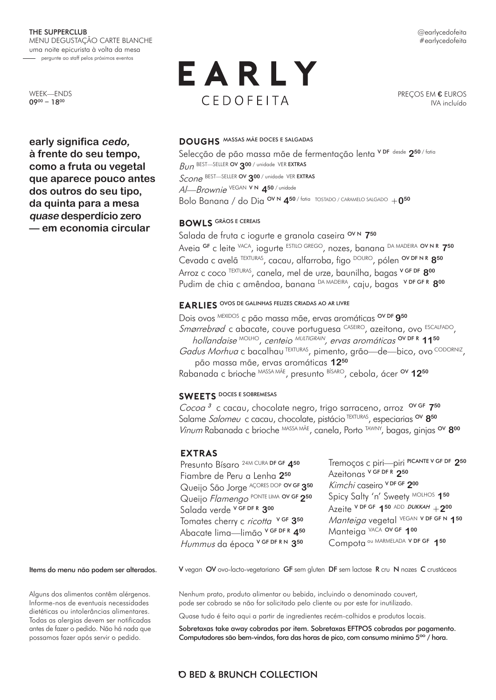WEEK—ENDS  $09^{00} - 18^{00}$ 

**early significa cedo, à frente do seu tempo, como a fruta ou vegetal que aparece pouco antes dos outros do seu tipo, da quinta para a mesa quase desperdício zero — em economia circular** 

# EARLY CEDOFFITA

PREÇOS EM **€** EUROS IVA incluído

#### **DOUGHS** MASSAS MÃE DOCES E SALGADAS

Selecção de pão massa mãe de fermentação lenta VDF desde 250/fatia Bun BEST—SELLER OV **300** / unidade VER EXTRAS Scone BEST—SELLER OV **300** / unidade VER EXTRAS

Al—Brownie VEGAN V N **450** / unidade

Bolo Banana / do Dia OV N **450** / fatia TOSTADO / CARAMELO SALGADO +**050**

#### **BOWLS** GRÃOS E CEREAIS

Salada de fruta c iogurte e granola caseira <sup>OVN</sup> 7<sup>50</sup> Aveia GF c leite VACA, iogurte ESTILO GREGO, nozes, banana DA MADEIRA OV N R **750** Cevada c avelã TEXTURAS, cacau, alfarroba, figo DOURO, pólen OV DF N R **850** Arroz c coco TEXTURAS, canela, mel de urze, baunilha, bagas V GF DF **800**  Pudim de chia c amêndoa, banana DA MADEIRA, caju, bagas V DF GF R **800**

#### **EARLIES** OVOS DE GALINHAS FELIZES CRIADAS AO AR LIVRE

Dois ovos MEXIDOS c pão massa mãe, ervas aromáticas OV DF **950** Smørrebrød c abacate, couve portuguesa CASEIRO, azeitona, ovo ESCALFADO, hollandaise MOLHO, centeio MULTIGRAIN, ervas aromáticas OV DF R **1150**  Gadus Morhua c bacalhau TEXTURAS, pimento, grão-de-bico, ovo CODORNIZ, pão massa mãe, ervas aromáticas **1250** Rabanada c brioche MASSA MÃE, presunto BÍSARO, cebola, ácer <sup>ov</sup> 12<sup>50</sup>

## **SWEETS** DOCES E SOBREMESAS

Cocoa <sup>3</sup> c cacau, chocolate negro, trigo sarraceno, arroz OV GF **750**  Salame Salomeu c cacau, chocolate, pistácio TEXTURAS, especiarias <sup>ov</sup> 8<sup>50</sup> Vinum Rabanada c brioche MASSA MÃE, canela, Porto TAWNY, bagas, ginjas OV **800**

# **EXTRAS**

Presunto Bísaro 24M CURA DF GF **450** Fiambre de Peru a Lenha **250** Queijo São Jorge AÇORES DOP OV GF **350**  Queijo Flamengo PONTE LIMA OV GF **250** Salada verde V GF DF R **300** Tomates cherry c ricotta V GF 350 Abacate lima—limão V GF DF R **450** Hummus da época V GF DF R N **350**

Tremoços c piri—piri PICANTE V GF DF **250** Azeitonas V GF DF R **250**  Kimchi caseiro V DF GF **200** Spicy Salty 'n' Sweety MOLHOS 150  $\overline{A}$ zeite <sup>V DF GF</sup> 1<sup>50 ADD</sup> *DUKKAH* + 200 Manteiga vegetal VEGAN V DF GF N **150** Manteiga VACA OV GF **100** Compota ou MARMELADA V DF GF **150**

Items do menu não podem ser alterados.

Alguns dos alimentos contêm alérgenos. Informe-nos de eventuais necessidades dietéticas ou intolerâncias alimentares. Todas as alergias devem ser notificadas antes de fazer o pedido. Não há nada que possamos fazer após servir o pedido.

V vegan OV ovo-lacto-vegetariano GF sem gluten DF sem lactose R cru N nozes C crustáceos

Nenhum prato, produto alimentar ou bebida, incluindo o denominado couvert, pode ser cobrado se não for solicitado pelo cliente ou por este for inutilizado.

Quase tudo é feito aqui a partir de ingredientes recém-colhidos e produtos locais.

Sobretaxas take away cobradas por item. Sobretaxas EFTPOS cobradas por pagamento. Computadores são bem-vindos, fora das horas de pico, com consumo mínimo 5<sup>00</sup> / hora.

# @earlycedofeita #earlycedofeita

# **O BED & BRUNCH COLLECTION**